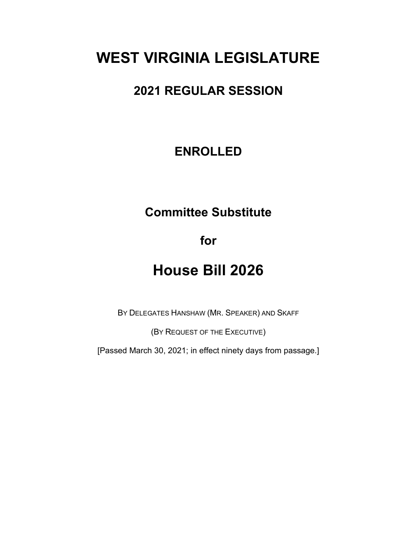# **WEST VIRGINIA LEGISLATURE**

# **2021 REGULAR SESSION**

## **ENROLLED**

# **Committee Substitute**

**for**

# **House Bill 2026**

BY DELEGATES HANSHAW (MR. SPEAKER) AND SKAFF

(BY REQUEST OF THE EXECUTIVE)

[Passed March 30, 2021; in effect ninety days from passage.]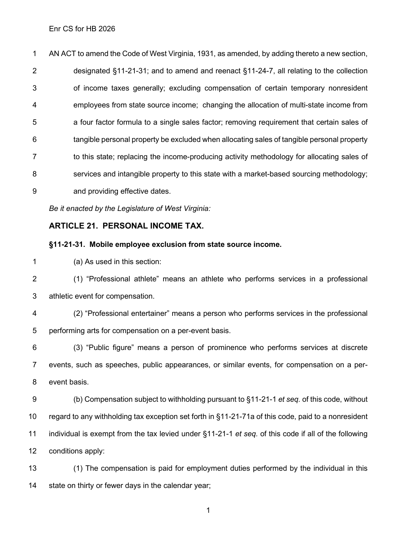AN ACT to amend the Code of West Virginia, 1931, as amended, by adding thereto a new section, designated §11-21-31; and to amend and reenact §11-24-7, all relating to the collection of income taxes generally; excluding compensation of certain temporary nonresident employees from state source income; changing the allocation of multi-state income from a four factor formula to a single sales factor; removing requirement that certain sales of tangible personal property be excluded when allocating sales of tangible personal property 7 to this state; replacing the income-producing activity methodology for allocating sales of services and intangible property to this state with a market-based sourcing methodology; and providing effective dates.

*Be it enacted by the Legislature of West Virginia:*

## **ARTICLE 21. PERSONAL INCOME TAX.**

### **§11-21-31. Mobile employee exclusion from state source income.**

(a) As used in this section:

 (1) "Professional athlete" means an athlete who performs services in a professional athletic event for compensation.

 (2) "Professional entertainer" means a person who performs services in the professional performing arts for compensation on a per-event basis.

 (3) "Public figure" means a person of prominence who performs services at discrete events, such as speeches, public appearances, or similar events, for compensation on a per-event basis.

 (b) Compensation subject to withholding pursuant to §11-21-1 *et seq.* of this code, without regard to any withholding tax exception set forth in §11-21-71a of this code, paid to a nonresident individual is exempt from the tax levied under §11-21-1 *et seq.* of this code if all of the following conditions apply:

 (1) The compensation is paid for employment duties performed by the individual in this state on thirty or fewer days in the calendar year;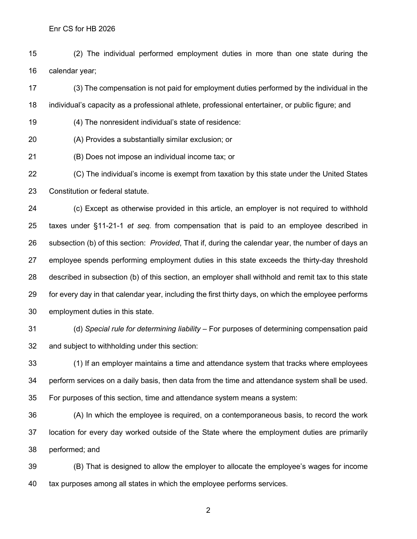(2) The individual performed employment duties in more than one state during the calendar year;

 (3) The compensation is not paid for employment duties performed by the individual in the individual's capacity as a professional athlete, professional entertainer, or public figure; and

- (4) The nonresident individual's state of residence:
- (A) Provides a substantially similar exclusion; or
- (B) Does not impose an individual income tax; or

 (C) The individual's income is exempt from taxation by this state under the United States Constitution or federal statute.

 (c) Except as otherwise provided in this article, an employer is not required to withhold taxes under §11-21-1 *et seq.* from compensation that is paid to an employee described in subsection (b) of this section: *Provided*, That if, during the calendar year, the number of days an employee spends performing employment duties in this state exceeds the thirty-day threshold described in subsection (b) of this section, an employer shall withhold and remit tax to this state for every day in that calendar year, including the first thirty days, on which the employee performs employment duties in this state.

 (d) *Special rule for determining liability* – For purposes of determining compensation paid and subject to withholding under this section:

 (1) If an employer maintains a time and attendance system that tracks where employees perform services on a daily basis, then data from the time and attendance system shall be used. For purposes of this section, time and attendance system means a system:

 (A) In which the employee is required, on a contemporaneous basis, to record the work location for every day worked outside of the State where the employment duties are primarily performed; and

 (B) That is designed to allow the employer to allocate the employee's wages for income tax purposes among all states in which the employee performs services.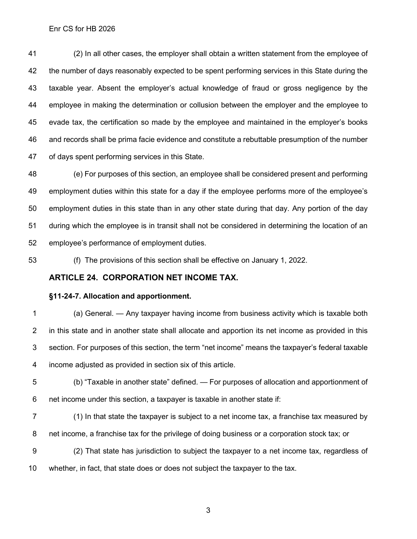(2) In all other cases, the employer shall obtain a written statement from the employee of the number of days reasonably expected to be spent performing services in this State during the taxable year. Absent the employer's actual knowledge of fraud or gross negligence by the employee in making the determination or collusion between the employer and the employee to evade tax, the certification so made by the employee and maintained in the employer's books and records shall be prima facie evidence and constitute a rebuttable presumption of the number of days spent performing services in this State.

 (e) For purposes of this section, an employee shall be considered present and performing employment duties within this state for a day if the employee performs more of the employee's employment duties in this state than in any other state during that day. Any portion of the day during which the employee is in transit shall not be considered in determining the location of an employee's performance of employment duties.

(f) The provisions of this section shall be effective on January 1, 2022.

### **ARTICLE 24. CORPORATION NET INCOME TAX.**

### **§11-24-7. Allocation and apportionment.**

 (a) General. — Any taxpayer having income from business activity which is taxable both in this state and in another state shall allocate and apportion its net income as provided in this section. For purposes of this section, the term "net income" means the taxpayer's federal taxable income adjusted as provided in section six of this article.

- (b) "Taxable in another state" defined. For purposes of allocation and apportionment of net income under this section, a taxpayer is taxable in another state if:
- (1) In that state the taxpayer is subject to a net income tax, a franchise tax measured by net income, a franchise tax for the privilege of doing business or a corporation stock tax; or
- (2) That state has jurisdiction to subject the taxpayer to a net income tax, regardless of whether, in fact, that state does or does not subject the taxpayer to the tax.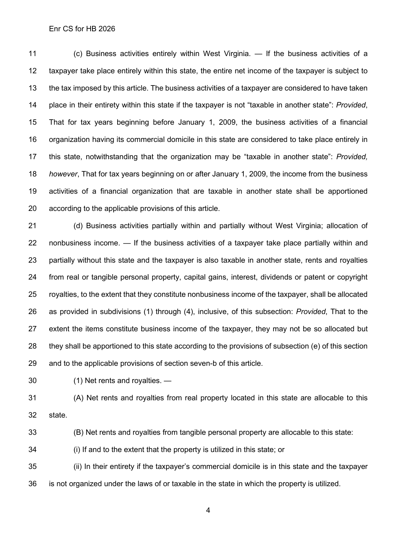(c) Business activities entirely within West Virginia. — If the business activities of a taxpayer take place entirely within this state, the entire net income of the taxpayer is subject to the tax imposed by this article. The business activities of a taxpayer are considered to have taken place in their entirety within this state if the taxpayer is not "taxable in another state": *Provided*, That for tax years beginning before January 1, 2009, the business activities of a financial organization having its commercial domicile in this state are considered to take place entirely in this state, notwithstanding that the organization may be "taxable in another state": *Provided, however*, That for tax years beginning on or after January 1, 2009, the income from the business activities of a financial organization that are taxable in another state shall be apportioned according to the applicable provisions of this article.

 (d) Business activities partially within and partially without West Virginia; allocation of nonbusiness income. — If the business activities of a taxpayer take place partially within and partially without this state and the taxpayer is also taxable in another state, rents and royalties from real or tangible personal property, capital gains, interest, dividends or patent or copyright royalties, to the extent that they constitute nonbusiness income of the taxpayer, shall be allocated as provided in subdivisions (1) through (4), inclusive, of this subsection: *Provided*, That to the extent the items constitute business income of the taxpayer, they may not be so allocated but they shall be apportioned to this state according to the provisions of subsection (e) of this section and to the applicable provisions of section seven-b of this article.

(1) Net rents and royalties. —

 (A) Net rents and royalties from real property located in this state are allocable to this state.

(B) Net rents and royalties from tangible personal property are allocable to this state:

(i) If and to the extent that the property is utilized in this state; or

 (ii) In their entirety if the taxpayer's commercial domicile is in this state and the taxpayer is not organized under the laws of or taxable in the state in which the property is utilized.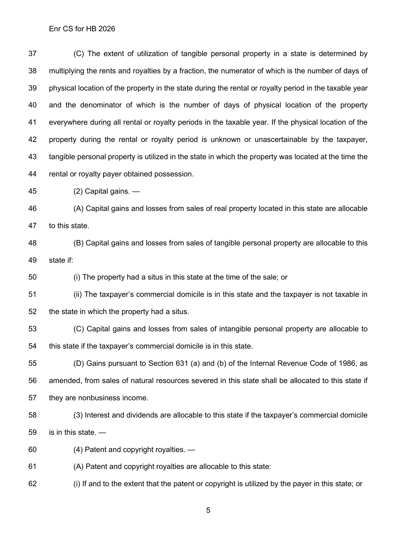(C) The extent of utilization of tangible personal property in a state is determined by multiplying the rents and royalties by a fraction, the numerator of which is the number of days of physical location of the property in the state during the rental or royalty period in the taxable year and the denominator of which is the number of days of physical location of the property everywhere during all rental or royalty periods in the taxable year. If the physical location of the property during the rental or royalty period is unknown or unascertainable by the taxpayer, tangible personal property is utilized in the state in which the property was located at the time the rental or royalty payer obtained possession.

(2) Capital gains. —

 (A) Capital gains and losses from sales of real property located in this state are allocable to this state.

 (B) Capital gains and losses from sales of tangible personal property are allocable to this state if:

(i) The property had a situs in this state at the time of the sale; or

 (ii) The taxpayer's commercial domicile is in this state and the taxpayer is not taxable in the state in which the property had a situs.

 (C) Capital gains and losses from sales of intangible personal property are allocable to this state if the taxpayer's commercial domicile is in this state.

 (D) Gains pursuant to Section 631 (a) and (b) of the Internal Revenue Code of 1986, as amended, from sales of natural resources severed in this state shall be allocated to this state if they are nonbusiness income.

 (3) Interest and dividends are allocable to this state if the taxpayer's commercial domicile is in this state. —

(4) Patent and copyright royalties. —

(A) Patent and copyright royalties are allocable to this state:

(i) If and to the extent that the patent or copyright is utilized by the payer in this state; or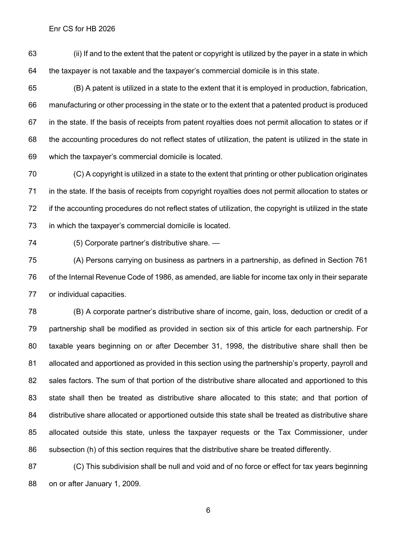(ii) If and to the extent that the patent or copyright is utilized by the payer in a state in which the taxpayer is not taxable and the taxpayer's commercial domicile is in this state.

 (B) A patent is utilized in a state to the extent that it is employed in production, fabrication, manufacturing or other processing in the state or to the extent that a patented product is produced in the state. If the basis of receipts from patent royalties does not permit allocation to states or if the accounting procedures do not reflect states of utilization, the patent is utilized in the state in which the taxpayer's commercial domicile is located.

 (C) A copyright is utilized in a state to the extent that printing or other publication originates in the state. If the basis of receipts from copyright royalties does not permit allocation to states or 72 if the accounting procedures do not reflect states of utilization, the copyright is utilized in the state in which the taxpayer's commercial domicile is located.

(5) Corporate partner's distributive share. —

 (A) Persons carrying on business as partners in a partnership, as defined in Section 761 of the Internal Revenue Code of 1986, as amended, are liable for income tax only in their separate or individual capacities.

 (B) A corporate partner's distributive share of income, gain, loss, deduction or credit of a partnership shall be modified as provided in section six of this article for each partnership. For taxable years beginning on or after December 31, 1998, the distributive share shall then be allocated and apportioned as provided in this section using the partnership's property, payroll and sales factors. The sum of that portion of the distributive share allocated and apportioned to this state shall then be treated as distributive share allocated to this state; and that portion of distributive share allocated or apportioned outside this state shall be treated as distributive share allocated outside this state, unless the taxpayer requests or the Tax Commissioner, under subsection (h) of this section requires that the distributive share be treated differently.

 (C) This subdivision shall be null and void and of no force or effect for tax years beginning on or after January 1, 2009.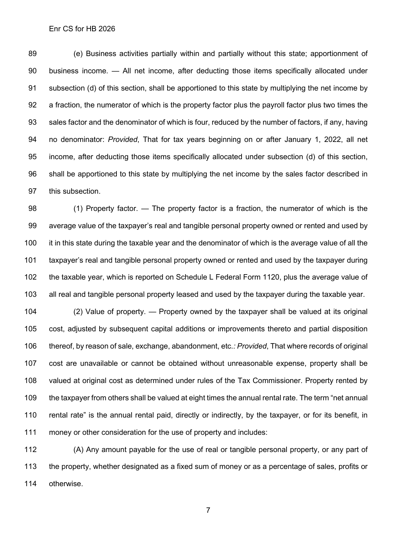(e) Business activities partially within and partially without this state; apportionment of business income. — All net income, after deducting those items specifically allocated under subsection (d) of this section, shall be apportioned to this state by multiplying the net income by a fraction, the numerator of which is the property factor plus the payroll factor plus two times the sales factor and the denominator of which is four, reduced by the number of factors, if any, having no denominator: *Provided*, That for tax years beginning on or after January 1, 2022, all net income, after deducting those items specifically allocated under subsection (d) of this section, shall be apportioned to this state by multiplying the net income by the sales factor described in this subsection.

 (1) Property factor. — The property factor is a fraction, the numerator of which is the average value of the taxpayer's real and tangible personal property owned or rented and used by it in this state during the taxable year and the denominator of which is the average value of all the taxpayer's real and tangible personal property owned or rented and used by the taxpayer during the taxable year, which is reported on Schedule L Federal Form 1120, plus the average value of all real and tangible personal property leased and used by the taxpayer during the taxable year.

 (2) Value of property. — Property owned by the taxpayer shall be valued at its original cost, adjusted by subsequent capital additions or improvements thereto and partial disposition thereof, by reason of sale, exchange, abandonment, etc*.: Provided*, That where records of original cost are unavailable or cannot be obtained without unreasonable expense, property shall be valued at original cost as determined under rules of the Tax Commissioner. Property rented by the taxpayer from others shall be valued at eight times the annual rental rate. The term "net annual rental rate" is the annual rental paid, directly or indirectly, by the taxpayer, or for its benefit, in money or other consideration for the use of property and includes:

 (A) Any amount payable for the use of real or tangible personal property, or any part of the property, whether designated as a fixed sum of money or as a percentage of sales, profits or otherwise.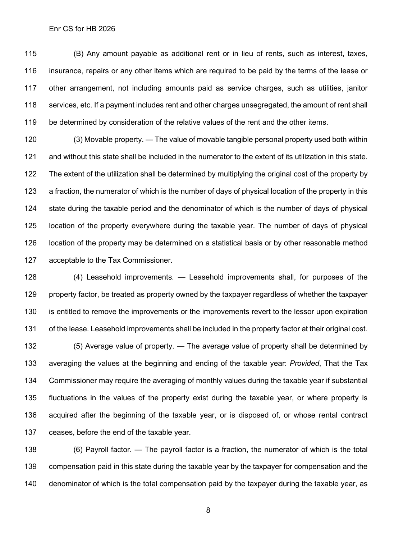(B) Any amount payable as additional rent or in lieu of rents, such as interest, taxes, insurance, repairs or any other items which are required to be paid by the terms of the lease or other arrangement, not including amounts paid as service charges, such as utilities, janitor services, etc. If a payment includes rent and other charges unsegregated, the amount of rent shall be determined by consideration of the relative values of the rent and the other items.

 (3) Movable property. — The value of movable tangible personal property used both within and without this state shall be included in the numerator to the extent of its utilization in this state. The extent of the utilization shall be determined by multiplying the original cost of the property by a fraction, the numerator of which is the number of days of physical location of the property in this state during the taxable period and the denominator of which is the number of days of physical location of the property everywhere during the taxable year. The number of days of physical location of the property may be determined on a statistical basis or by other reasonable method acceptable to the Tax Commissioner.

 (4) Leasehold improvements. — Leasehold improvements shall, for purposes of the property factor, be treated as property owned by the taxpayer regardless of whether the taxpayer is entitled to remove the improvements or the improvements revert to the lessor upon expiration of the lease. Leasehold improvements shall be included in the property factor at their original cost.

 (5) Average value of property. — The average value of property shall be determined by averaging the values at the beginning and ending of the taxable year: *Provided*, That the Tax Commissioner may require the averaging of monthly values during the taxable year if substantial fluctuations in the values of the property exist during the taxable year, or where property is acquired after the beginning of the taxable year, or is disposed of, or whose rental contract ceases, before the end of the taxable year.

 (6) Payroll factor. — The payroll factor is a fraction, the numerator of which is the total compensation paid in this state during the taxable year by the taxpayer for compensation and the denominator of which is the total compensation paid by the taxpayer during the taxable year, as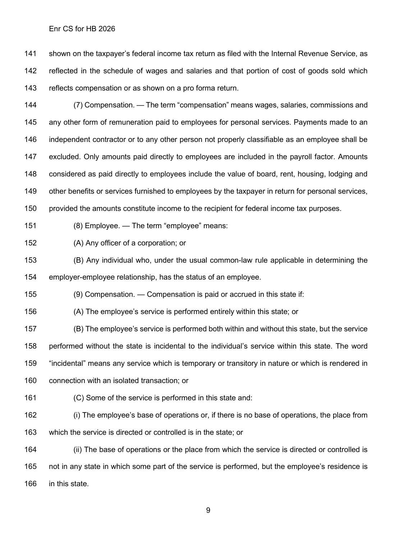shown on the taxpayer's federal income tax return as filed with the Internal Revenue Service, as reflected in the schedule of wages and salaries and that portion of cost of goods sold which reflects compensation or as shown on a pro forma return.

 (7) Compensation. — The term "compensation" means wages, salaries, commissions and any other form of remuneration paid to employees for personal services. Payments made to an independent contractor or to any other person not properly classifiable as an employee shall be excluded. Only amounts paid directly to employees are included in the payroll factor. Amounts considered as paid directly to employees include the value of board, rent, housing, lodging and other benefits or services furnished to employees by the taxpayer in return for personal services, provided the amounts constitute income to the recipient for federal income tax purposes.

(8) Employee. — The term "employee" means:

(A) Any officer of a corporation; or

 (B) Any individual who, under the usual common-law rule applicable in determining the employer-employee relationship, has the status of an employee.

(9) Compensation. — Compensation is paid or accrued in this state if:

(A) The employee's service is performed entirely within this state; or

 (B) The employee's service is performed both within and without this state, but the service performed without the state is incidental to the individual's service within this state. The word "incidental" means any service which is temporary or transitory in nature or which is rendered in connection with an isolated transaction; or

(C) Some of the service is performed in this state and:

 (i) The employee's base of operations or, if there is no base of operations, the place from which the service is directed or controlled is in the state; or

 (ii) The base of operations or the place from which the service is directed or controlled is not in any state in which some part of the service is performed, but the employee's residence is in this state.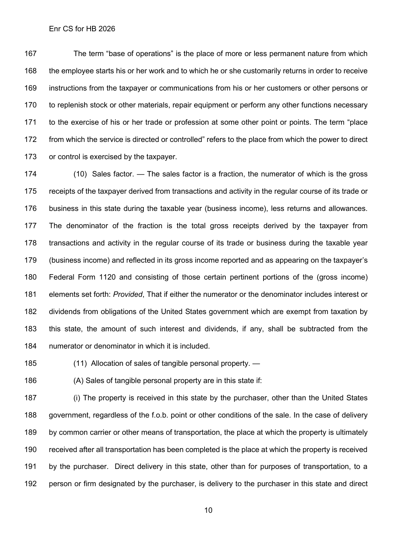The term "base of operations" is the place of more or less permanent nature from which the employee starts his or her work and to which he or she customarily returns in order to receive instructions from the taxpayer or communications from his or her customers or other persons or 170 to replenish stock or other materials, repair equipment or perform any other functions necessary 171 to the exercise of his or her trade or profession at some other point or points. The term "place from which the service is directed or controlled" refers to the place from which the power to direct or control is exercised by the taxpayer.

 (10) Sales factor. — The sales factor is a fraction, the numerator of which is the gross receipts of the taxpayer derived from transactions and activity in the regular course of its trade or business in this state during the taxable year (business income), less returns and allowances. The denominator of the fraction is the total gross receipts derived by the taxpayer from transactions and activity in the regular course of its trade or business during the taxable year (business income) and reflected in its gross income reported and as appearing on the taxpayer's Federal Form 1120 and consisting of those certain pertinent portions of the (gross income) elements set forth: *Provided*, That if either the numerator or the denominator includes interest or dividends from obligations of the United States government which are exempt from taxation by this state, the amount of such interest and dividends, if any, shall be subtracted from the numerator or denominator in which it is included.

(11) Allocation of sales of tangible personal property. —

(A) Sales of tangible personal property are in this state if:

 (i) The property is received in this state by the purchaser, other than the United States government, regardless of the f.o.b. point or other conditions of the sale. In the case of delivery by common carrier or other means of transportation, the place at which the property is ultimately received after all transportation has been completed is the place at which the property is received by the purchaser. Direct delivery in this state, other than for purposes of transportation, to a person or firm designated by the purchaser, is delivery to the purchaser in this state and direct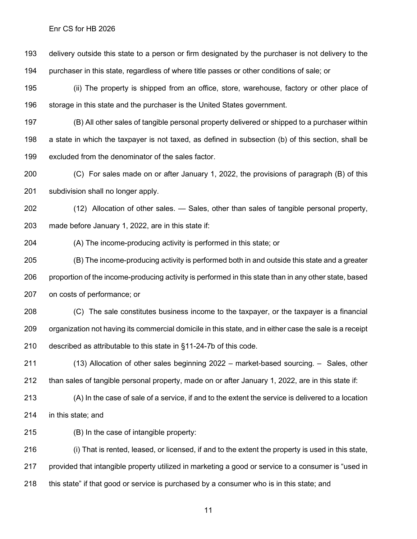delivery outside this state to a person or firm designated by the purchaser is not delivery to the purchaser in this state, regardless of where title passes or other conditions of sale; or

 (ii) The property is shipped from an office, store, warehouse, factory or other place of storage in this state and the purchaser is the United States government.

 (B) All other sales of tangible personal property delivered or shipped to a purchaser within a state in which the taxpayer is not taxed, as defined in subsection (b) of this section, shall be excluded from the denominator of the sales factor.

 (C) For sales made on or after January 1, 2022, the provisions of paragraph (B) of this subdivision shall no longer apply.

 (12) Allocation of other sales. — Sales, other than sales of tangible personal property, made before January 1, 2022, are in this state if:

(A) The income-producing activity is performed in this state; or

 (B) The income-producing activity is performed both in and outside this state and a greater proportion of the income-producing activity is performed in this state than in any other state, based on costs of performance; or

 (C) The sale constitutes business income to the taxpayer, or the taxpayer is a financial organization not having its commercial domicile in this state, and in either case the sale is a receipt described as attributable to this state in §11-24-7b of this code.

 (13) Allocation of other sales beginning 2022 – market-based sourcing. – Sales, other than sales of tangible personal property, made on or after January 1, 2022, are in this state if:

 (A) In the case of sale of a service, if and to the extent the service is delivered to a location in this state; and

(B) In the case of intangible property:

 (i) That is rented, leased, or licensed, if and to the extent the property is used in this state, provided that intangible property utilized in marketing a good or service to a consumer is "used in this state" if that good or service is purchased by a consumer who is in this state; and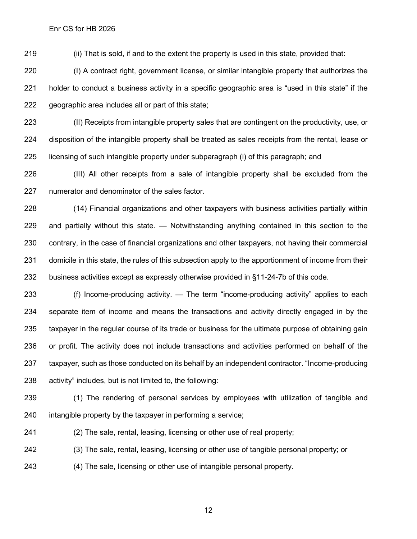(ii) That is sold, if and to the extent the property is used in this state, provided that:

 (I) A contract right, government license, or similar intangible property that authorizes the holder to conduct a business activity in a specific geographic area is "used in this state" if the geographic area includes all or part of this state;

 (II) Receipts from intangible property sales that are contingent on the productivity, use, or disposition of the intangible property shall be treated as sales receipts from the rental, lease or licensing of such intangible property under subparagraph (i) of this paragraph; and

 (III) All other receipts from a sale of intangible property shall be excluded from the numerator and denominator of the sales factor.

 (14) Financial organizations and other taxpayers with business activities partially within and partially without this state. — Notwithstanding anything contained in this section to the contrary, in the case of financial organizations and other taxpayers, not having their commercial domicile in this state, the rules of this subsection apply to the apportionment of income from their business activities except as expressly otherwise provided in §11-24-7b of this code.

 (f) Income-producing activity. — The term "income-producing activity" applies to each separate item of income and means the transactions and activity directly engaged in by the taxpayer in the regular course of its trade or business for the ultimate purpose of obtaining gain or profit. The activity does not include transactions and activities performed on behalf of the taxpayer, such as those conducted on its behalf by an independent contractor. "Income-producing activity" includes, but is not limited to, the following:

 (1) The rendering of personal services by employees with utilization of tangible and intangible property by the taxpayer in performing a service;

(2) The sale, rental, leasing, licensing or other use of real property;

(3) The sale, rental, leasing, licensing or other use of tangible personal property; or

(4) The sale, licensing or other use of intangible personal property.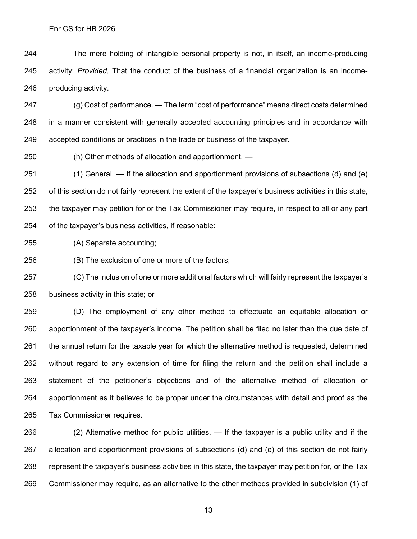The mere holding of intangible personal property is not, in itself, an income-producing activity: *Provided*, That the conduct of the business of a financial organization is an income-producing activity.

 (g) Cost of performance. — The term "cost of performance" means direct costs determined in a manner consistent with generally accepted accounting principles and in accordance with accepted conditions or practices in the trade or business of the taxpayer.

(h) Other methods of allocation and apportionment. —

 (1) General. — If the allocation and apportionment provisions of subsections (d) and (e) of this section do not fairly represent the extent of the taxpayer's business activities in this state, the taxpayer may petition for or the Tax Commissioner may require, in respect to all or any part of the taxpayer's business activities, if reasonable:

(A) Separate accounting;

(B) The exclusion of one or more of the factors;

 (C) The inclusion of one or more additional factors which will fairly represent the taxpayer's business activity in this state; or

 (D) The employment of any other method to effectuate an equitable allocation or apportionment of the taxpayer's income. The petition shall be filed no later than the due date of the annual return for the taxable year for which the alternative method is requested, determined without regard to any extension of time for filing the return and the petition shall include a statement of the petitioner's objections and of the alternative method of allocation or apportionment as it believes to be proper under the circumstances with detail and proof as the Tax Commissioner requires.

 (2) Alternative method for public utilities. — If the taxpayer is a public utility and if the allocation and apportionment provisions of subsections (d) and (e) of this section do not fairly represent the taxpayer's business activities in this state, the taxpayer may petition for, or the Tax Commissioner may require, as an alternative to the other methods provided in subdivision (1) of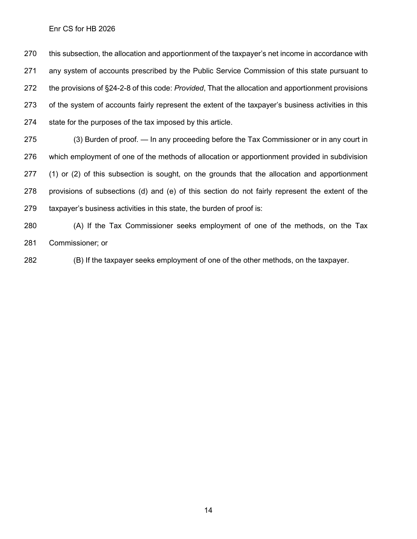this subsection, the allocation and apportionment of the taxpayer's net income in accordance with any system of accounts prescribed by the Public Service Commission of this state pursuant to the provisions of §24-2-8 of this code: *Provided*, That the allocation and apportionment provisions of the system of accounts fairly represent the extent of the taxpayer's business activities in this state for the purposes of the tax imposed by this article.

 (3) Burden of proof. — In any proceeding before the Tax Commissioner or in any court in which employment of one of the methods of allocation or apportionment provided in subdivision 277 (1) or (2) of this subsection is sought, on the grounds that the allocation and apportionment provisions of subsections (d) and (e) of this section do not fairly represent the extent of the taxpayer's business activities in this state, the burden of proof is:

 (A) If the Tax Commissioner seeks employment of one of the methods, on the Tax Commissioner; or

(B) If the taxpayer seeks employment of one of the other methods, on the taxpayer.